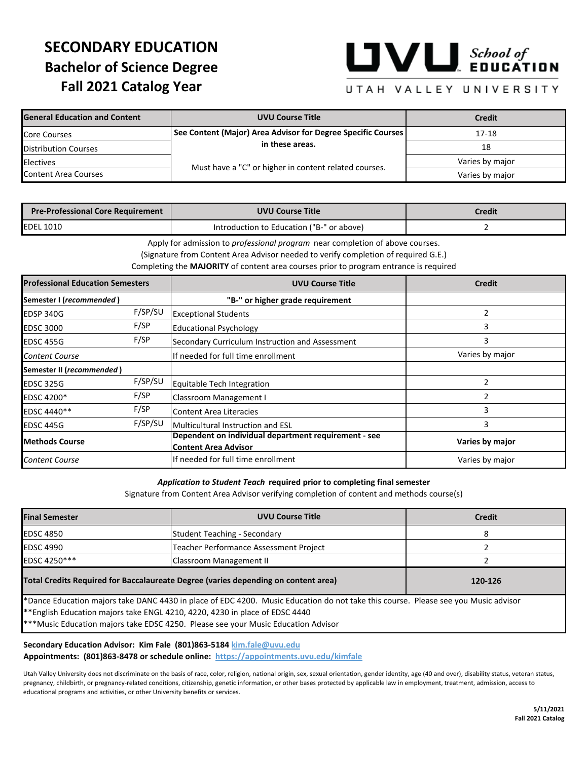# **SECONDARY EDUCATION Bachelor of Science Degree Fall 2021 Catalog Year**



## UTAH VALLEY UNIVERSITY

| <b>General Education and Content</b> | <b>UVU Course Title</b>                                      | <b>Credit</b>   |  |
|--------------------------------------|--------------------------------------------------------------|-----------------|--|
| <b>Core Courses</b>                  | See Content (Major) Area Advisor for Degree Specific Courses | 17-18           |  |
| <b>Distribution Courses</b>          | in these areas.                                              | 18              |  |
| <b>Electives</b>                     | Must have a "C" or higher in content related courses.        | Varies by major |  |
| Content Area Courses                 |                                                              | Varies by major |  |

| <b>Pre-Professional Core Requirement</b> | <b>UVU Course Title</b>                   | Credit |
|------------------------------------------|-------------------------------------------|--------|
| <b>IEDEL 1010</b>                        | Introduction to Education ("B-" or above) |        |

Apply for admission to *professional program* near completion of above courses.

(Signature from Content Area Advisor needed to verify completion of required G.E.)

Completing the **MAJORITY** of content area courses prior to program entrance is required

| <b>Professional Education Semesters</b> |         | <b>UVU Course Title</b>                                                             | <b>Credit</b>   |  |
|-----------------------------------------|---------|-------------------------------------------------------------------------------------|-----------------|--|
| Semester I (recommended)                |         | "B-" or higher grade requirement                                                    |                 |  |
| EDSP 340G                               | F/SP/SU | <b>Exceptional Students</b>                                                         | 2               |  |
| <b>EDSC 3000</b>                        | F/SP    | <b>Educational Psychology</b>                                                       | 3               |  |
| EDSC 455G                               | F/SP    | Secondary Curriculum Instruction and Assessment                                     | 3               |  |
| <b>Content Course</b>                   |         | If needed for full time enrollment                                                  | Varies by major |  |
| Semester II (recommended)               |         |                                                                                     |                 |  |
| EDSC 325G                               | F/SP/SU | Equitable Tech Integration                                                          | 2               |  |
| <b>EDSC 4200*</b>                       | F/SP    | Classroom Management I                                                              |                 |  |
| EDSC 4440**                             | F/SP    | Content Area Literacies                                                             | 3               |  |
| EDSC 445G                               | F/SP/SU | Multicultural Instruction and ESL                                                   | 3               |  |
| <b>Methods Course</b>                   |         | Dependent on individual department requirement - see<br><b>Content Area Advisor</b> | Varies by major |  |
| <b>Content Course</b>                   |         | If needed for full time enrollment                                                  | Varies by major |  |

#### *Application to Student Teach* **required prior to completing final semester**

Signature from Content Area Advisor verifying completion of content and methods course(s)

| <b>Final Semester</b>                                                                                                                                                                                                                                                                                    | <b>UVU Course Title</b>                | <b>Credit</b> |  |  |
|----------------------------------------------------------------------------------------------------------------------------------------------------------------------------------------------------------------------------------------------------------------------------------------------------------|----------------------------------------|---------------|--|--|
| <b>EDSC 4850</b>                                                                                                                                                                                                                                                                                         | Student Teaching - Secondary           |               |  |  |
| <b>EDSC 4990</b>                                                                                                                                                                                                                                                                                         | Teacher Performance Assessment Project |               |  |  |
| EDSC 4250***                                                                                                                                                                                                                                                                                             | Classroom Management II                |               |  |  |
| Total Credits Required for Baccalaureate Degree (varies depending on content area)<br>120-126                                                                                                                                                                                                            |                                        |               |  |  |
| *Dance Education majors take DANC 4430 in place of EDC 4200. Music Education do not take this course. Please see you Music advisor<br>** English Education majors take ENGL 4210, 4220, 4230 in place of EDSC 4440<br>*** Music Education majors take EDSC 4250. Please see your Music Education Advisor |                                        |               |  |  |

**Secondary Education Advisor: Kim Fale (801)863-5184 kim.fale@uvu.edu Appointments: (801)863-8478 or schedule online: https://appointments.uvu.edu/kimfale**

Utah Valley University does not discriminate on the basis of race, color, religion, national origin, sex, sexual orientation, gender identity, age (40 and over), disability status, veteran status, pregnancy, childbirth, or pregnancy-related conditions, citizenship, genetic information, or other bases protected by applicable law in employment, treatment, admission, access to educational programs and activities, or other University benefits or services.